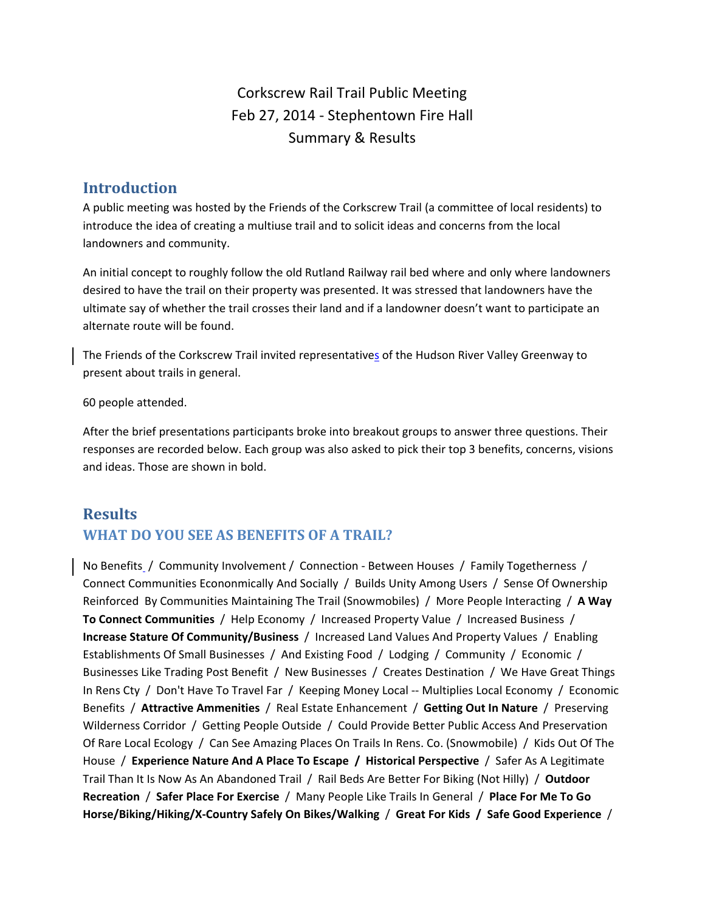Corkscrew Rail Trail Public Meeting Feb 27, 2014 ‐ Stephentown Fire Hall Summary & Results

#### **Introduction**

A public meeting was hosted by the Friends of the Corkscrew Trail (a committee of local residents) to introduce the idea of creating a multiuse trail and to solicit ideas and concerns from the local landowners and community.

An initial concept to roughly follow the old Rutland Railway rail bed where and only where landowners desired to have the trail on their property was presented. It was stressed that landowners have the ultimate say of whether the trail crosses their land and if a landowner doesn't want to participate an alternate route will be found.

The Friends of the Corkscrew Trail invited representatives of the Hudson River Valley Greenway to present about trails in general.

60 people attended.

After the brief presentations participants broke into breakout groups to answer three questions. Their responses are recorded below. Each group was also asked to pick their top 3 benefits, concerns, visions and ideas. Those are shown in bold.

# **Results WHAT DO YOU SEE AS BENEFITS OF A TRAIL?**

No Benefits / Community Involvement / Connection - Between Houses / Family Togetherness / Connect Communities Econonmically And Socially / Builds Unity Among Users / Sense Of Ownership Reinforced By Communities Maintaining The Trail (Snowmobiles) / More People Interacting / **A Way To Connect Communities** / Help Economy / Increased Property Value / Increased Business / **Increase Stature Of Community/Business** / Increased Land Values And Property Values / Enabling Establishments Of Small Businesses / And Existing Food / Lodging / Community / Economic / Businesses Like Trading Post Benefit / New Businesses / Creates Destination / We Have Great Things In Rens Cty / Don't Have To Travel Far / Keeping Money Local -- Multiplies Local Economy / Economic Benefits / **Attractive Ammenities** / Real Estate Enhancement / **Getting Out In Nature** / Preserving Wilderness Corridor / Getting People Outside / Could Provide Better Public Access And Preservation Of Rare Local Ecology / Can See Amazing Places On Trails In Rens. Co. (Snowmobile) / Kids Out Of The House / **Experience Nature And A Place To Escape / Historical Perspective** / Safer As A Legitimate Trail Than It Is Now As An Abandoned Trail / Rail Beds Are Better For Biking (Not Hilly) / **Outdoor Recreation** / **Safer Place For Exercise** / Many People Like Trails In General / **Place For Me To Go Horse/Biking/Hiking/X‐Country Safely On Bikes/Walking** / **Great For Kids / Safe Good Experience** /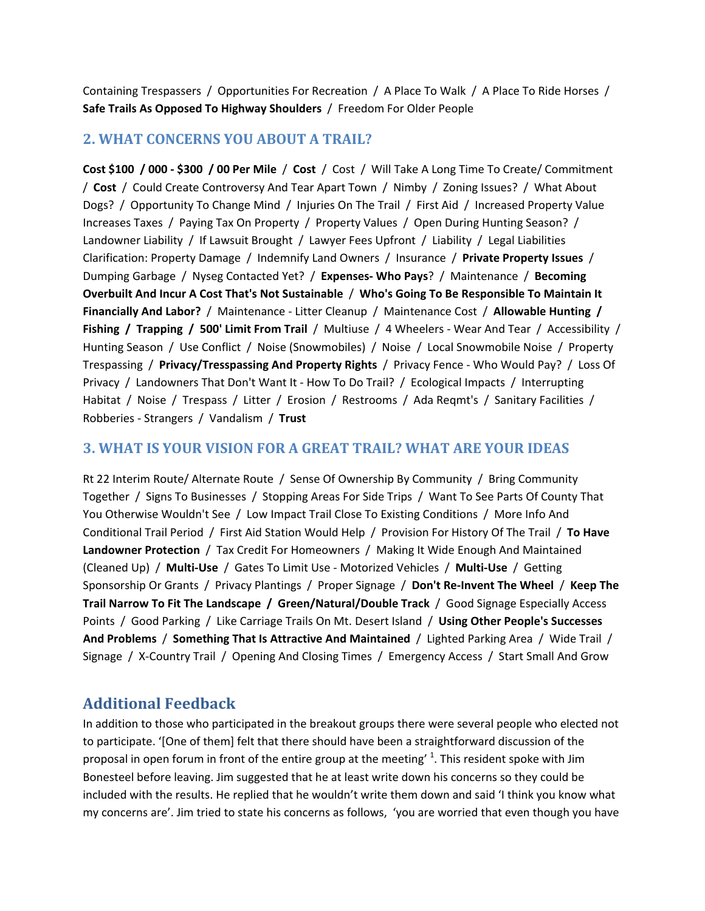Containing Trespassers / Opportunities For Recreation / A Place To Walk / A Place To Ride Horses / **Safe Trails As Opposed To Highway Shoulders** / Freedom For Older People

#### **2. WHAT CONCERNS YOU ABOUT A TRAIL?**

**Cost \$100 / 000 ‐ \$300 / 00 Per Mile** / **Cost** / Cost / Will Take A Long Time To Create/ Commitment / **Cost** / Could Create Controversy And Tear Apart Town / Nimby / Zoning Issues? / What About Dogs? / Opportunity To Change Mind / Injuries On The Trail / First Aid / Increased Property Value Increases Taxes / Paying Tax On Property / Property Values / Open During Hunting Season? / Landowner Liability / If Lawsuit Brought / Lawyer Fees Upfront / Liability / Legal Liabilities Clarification: Property Damage / Indemnify Land Owners / Insurance / **Private Property Issues** / Dumping Garbage / Nyseg Contacted Yet? / **Expenses‐ Who Pays**? / Maintenance / **Becoming Overbuilt And Incur A Cost That's Not Sustainable** / **Who's Going To Be Responsible To Maintain It Financially And Labor?** / Maintenance ‐ Litter Cleanup / Maintenance Cost / **Allowable Hunting / Fishing / Trapping / 500' Limit From Trail** / Multiuse / 4 Wheelers ‐ Wear And Tear / Accessibility / Hunting Season / Use Conflict / Noise (Snowmobiles) / Noise / Local Snowmobile Noise / Property Trespassing / **Privacy/Tresspassing And Property Rights** / Privacy Fence ‐ Who Would Pay? / Loss Of Privacy / Landowners That Don't Want It ‐ How To Do Trail? / Ecological Impacts / Interrupting Habitat / Noise / Trespass / Litter / Erosion / Restrooms / Ada Reqmt's / Sanitary Facilities / Robberies ‐ Strangers / Vandalism / **Trust**

#### **3. WHAT IS YOUR VISION FOR A GREAT TRAIL? WHAT ARE YOUR IDEAS**

Rt 22 Interim Route/ Alternate Route / Sense Of Ownership By Community / Bring Community Together / Signs To Businesses / Stopping Areas For Side Trips / Want To See Parts Of County That You Otherwise Wouldn't See / Low Impact Trail Close To Existing Conditions / More Info And Conditional Trail Period / First Aid Station Would Help / Provision For History Of The Trail / **To Have Landowner Protection** / Tax Credit For Homeowners / Making It Wide Enough And Maintained (Cleaned Up) / **Multi‐Use** / Gates To Limit Use ‐ Motorized Vehicles / **Multi‐Use** / Getting Sponsorship Or Grants / Privacy Plantings / Proper Signage / **Don't Re‐Invent The Wheel** / **Keep The Trail Narrow To Fit The Landscape / Green/Natural/Double Track** / Good Signage Especially Access Points / Good Parking / Like Carriage Trails On Mt. Desert Island / **Using Other People's Successes And Problems** / **Something That Is Attractive And Maintained** / Lighted Parking Area / Wide Trail / Signage / X-Country Trail / Opening And Closing Times / Emergency Access / Start Small And Grow

## **Additional Feedback**

In addition to those who participated in the breakout groups there were several people who elected not to participate. '[One of them] felt that there should have been a straightforward discussion of the proposal in open forum in front of the entire group at the meeting'  $^1$ . This resident spoke with Jim Bonesteel before leaving. Jim suggested that he at least write down his concerns so they could be included with the results. He replied that he wouldn't write them down and said 'I think you know what my concerns are'. Jim tried to state his concerns as follows, 'you are worried that even though you have